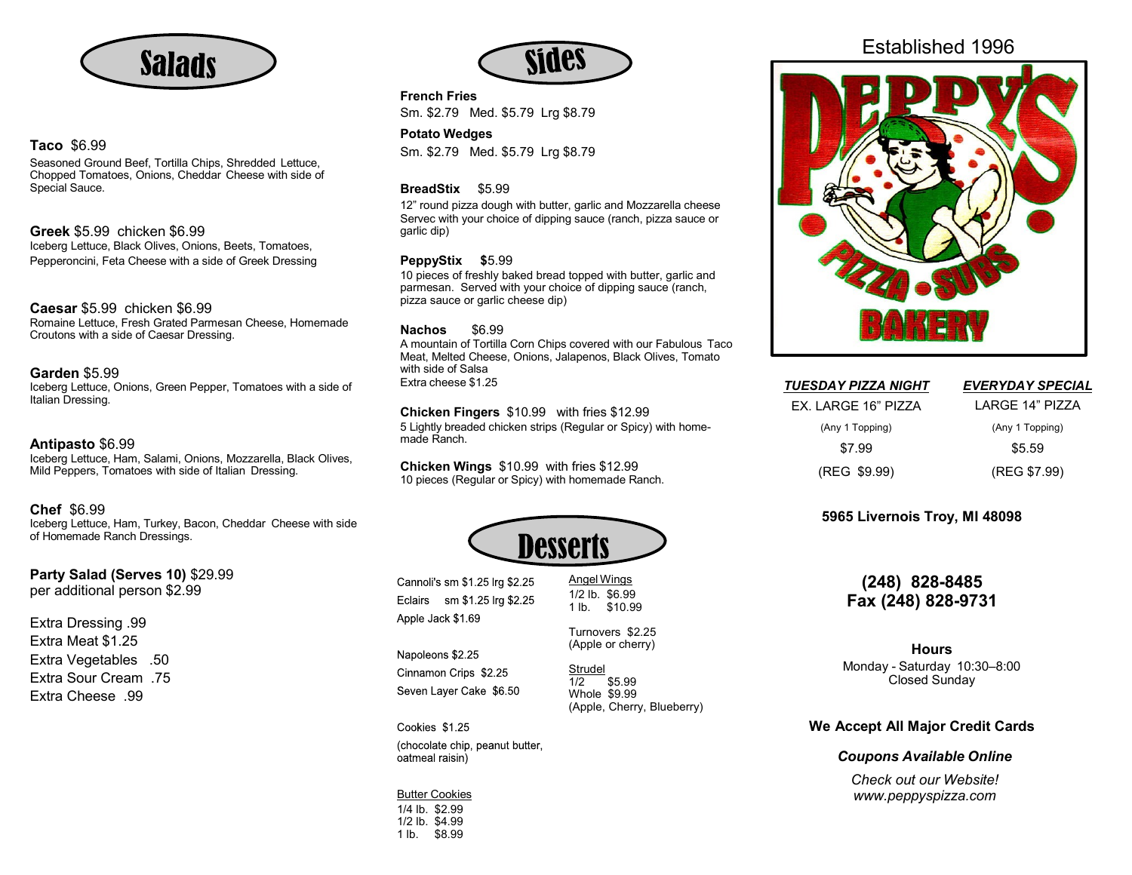

# **Taco** \$6.99

Seasoned Ground Beef, Tortilla Chips, Shredded Lettuce, Chopped Tomatoes, Onions, Cheddar Cheese with side of Special Sauce.

**Greek** \$5.99 chicken \$6.99 Iceberg Lettuce, Black Olives, Onions, Beets, Tomatoes, Pepperoncini, Feta Cheese with a side of Greek Dressing

# **Caesar** \$5.99 chicken \$6.99

Romaine Lettuce, Fresh Grated Parmesan Cheese, Homemade Croutons with a side of Caesar Dressing.

## **Garden** \$5.99

Iceberg Lettuce, Onions, Green Pepper, Tomatoes with a side of Italian Dressing.

## **Antipasto** \$6.99

Iceberg Lettuce, Ham, Salami, Onions, Mozzarella, Black Olives, Mild Peppers, Tomatoes with side of Italian Dressing.

## **Chef** \$6.99

Iceberg Lettuce, Ham, Turkey, Bacon, Cheddar Cheese with side of Homemade Ranch Dressings.

**Party Salad (Serves 10)** \$29.99 per additional person \$2.99

Extra Dressing .99 Extra Meat \$1.25 Extra Vegetables .50 Extra Sour Cream .75 Extra Cheese .99



**French Fries**

Sm. \$2.79 Med. \$5.79 Lrg \$8.79

**Potato Wedges** Sm. \$2.79 Med. \$5.79 Lrg \$8.79

## **BreadStix** \$5.99

12" round pizza dough with butter, garlic and Mozzarella cheese Servec with your choice of dipping sauce (ranch, pizza sauce or garlic dip)

## **PeppyStix \$**5.99

10 pieces of freshly baked bread topped with butter, garlic and parmesan. Served with your choice of dipping sauce (ranch, pizza sauce or garlic cheese dip)

#### **Nachos** \$6.99

A mountain of Tortilla Corn Chips covered with our Fabulous Taco Meat, Melted Cheese, Onions, Jalapenos, Black Olives, Tomato with side of Salsa Extra cheese \$1.25

#### **Chicken Fingers** \$10.99 with fries \$12.99

5 Lightly breaded chicken strips (Regular or Spicy) with homemade Ranch.

**Chicken Wings** \$10.99 with fries \$12.99 10 pieces (Regular or Spicy) with homemade Ranch.



Cannoli's sm \$1.25 lrg \$2.25 Eclairs sm \$1.25 lrg \$2.25 Apple Jack \$1.69

Napoleons \$2.25 Cinnamon Crips \$2.25 Seven Layer Cake \$6.50

Cookies \$1.25 (chocolate chip, peanut butter, oatmeal raisin)

Butter Cookies 1/4 lb. \$2.99 1/2 lb. \$4.99 1 lb. \$8.99

Established 1996



| <b>TUESDAY PIZZA NIGHT</b> | <b>EVERYDAY SPECIAL</b> |
|----------------------------|-------------------------|
| EX. LARGE 16" PIZZA        | I ARGF 14" PIZZA        |
| (Any 1 Topping)            | (Any 1 Topping)         |
| \$7.99                     | \$5.59                  |
| (REG \$9.99)               | (REG \$7.99)            |

# **5965 Livernois Troy, MI 48098**

# **(248) 828-8485 Fax (248) 828-9731**

# **Hours**

Monday - Saturday 10:30–8:00 Closed Sunday

# **We Accept All Major Credit Cards**

# *Coupons Available Online*

*Check out our Website! [www.peppyspizza.com](http://www.peppyspizza.com/)*

\$5.99

Strudel<br>1/2 Whole \$9.99

Angel Wings 1/2 lb. \$6.99 1 lb. \$10.99

(Apple, Cherry, Blueberry)

Turnovers \$2.25 (Apple or cherry)